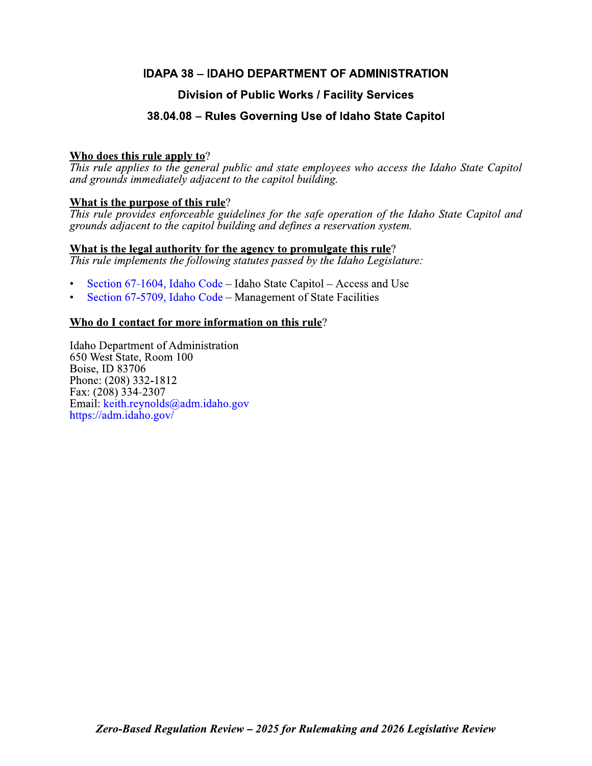## **IDAPA 38 - IDAHO DEPARTMENT OF ADMINISTRATION**

## **Division of Public Works / Facility Services**

## 38.04.08 - Rules Governing Use of Idaho State Capitol

## Who does this rule apply to?

This rule applies to the general public and state employees who access the Idaho State Capitol and grounds immediately adjacent to the capitol building.

## What is the purpose of this rule?

This rule provides enforceable guidelines for the safe operation of the Idaho State Capitol and grounds adjacent to the capitol building and defines a reservation system.

## What is the legal authority for the agency to promulgate this rule?

This rule implements the following statutes passed by the Idaho Legislature:

- Section 67-1604, Idaho Code Idaho State Capitol Access and Use
- Section 67-5709, Idaho Code Management of State Facilities

## Who do I contact for more information on this rule?

Idaho Department of Administration 650 West State, Room 100 Boise, ID 83706 Phone: (208) 332-1812 Fax: (208) 334-2307 Email: keith.reynolds@adm.idaho.gov https://adm.idaho.gov/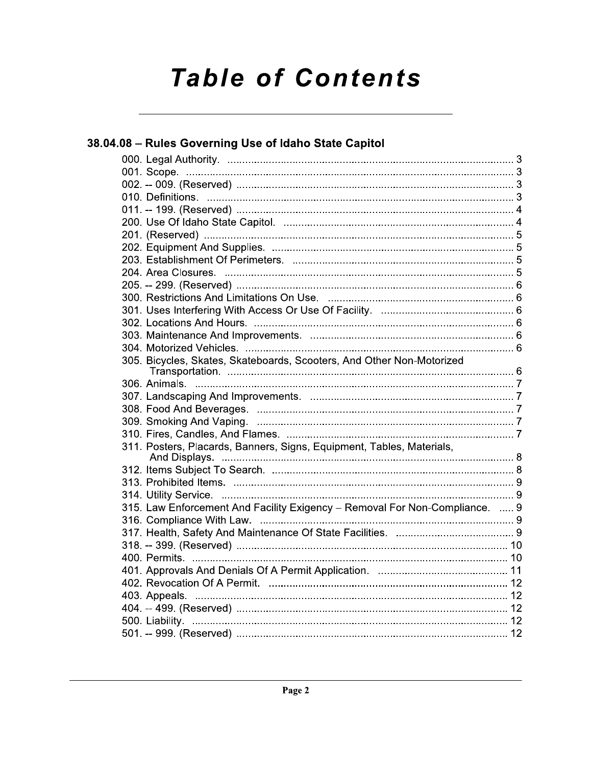# **Table of Contents**

| 38.04.08 - Rules Governing Use of Idaho State Capitol                       |  |
|-----------------------------------------------------------------------------|--|
|                                                                             |  |
|                                                                             |  |
|                                                                             |  |
|                                                                             |  |
|                                                                             |  |
|                                                                             |  |
|                                                                             |  |
|                                                                             |  |
|                                                                             |  |
|                                                                             |  |
|                                                                             |  |
|                                                                             |  |
|                                                                             |  |
|                                                                             |  |
|                                                                             |  |
|                                                                             |  |
| 305. Bicycles, Skates, Skateboards, Scooters, And Other Non-Motorized       |  |
|                                                                             |  |
|                                                                             |  |
|                                                                             |  |
|                                                                             |  |
|                                                                             |  |
| 311. Posters, Placards, Banners, Signs, Equipment, Tables, Materials,       |  |
|                                                                             |  |
|                                                                             |  |
|                                                                             |  |
| 315. Law Enforcement And Facility Exigency - Removal For Non-Compliance.  9 |  |
|                                                                             |  |
|                                                                             |  |
|                                                                             |  |
|                                                                             |  |
|                                                                             |  |
|                                                                             |  |
|                                                                             |  |
|                                                                             |  |
|                                                                             |  |
|                                                                             |  |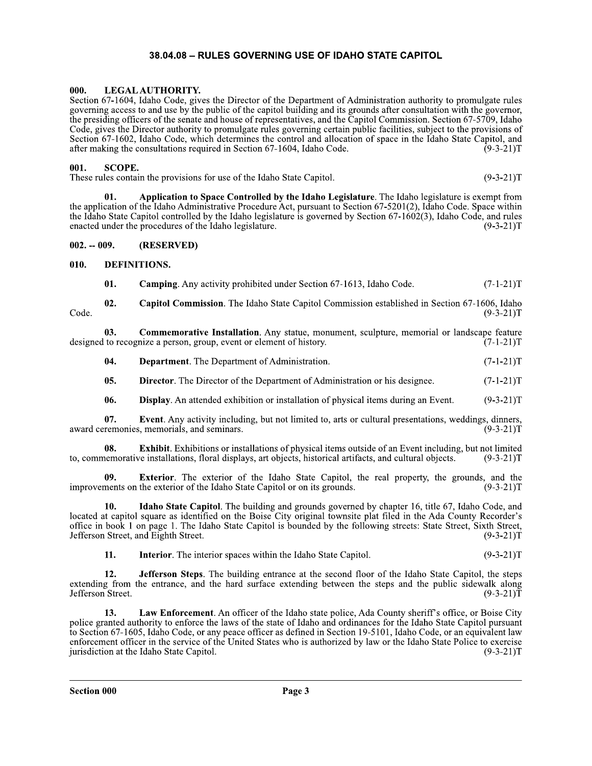**38.04.08 – RULES GOVERNING USE OF IDAHO STATE CAPITOL**<br> **000.** LEGAL AUTHORITY.<br>
Section 67-1604, Idaho Code, gives the Director of the Department of Administration authority<br>
governing access to and use by the public of Section 67-1604, Idaho Code, gives the Director of the Department of Administration authority to promulgate rules governing access to and use by the public of the capitol building and its grounds after consultation with the governor, the presiding officers of the senate and house of representatives, and the Capitol Commission. Section 67-5709, Idaho Code, gives the Director authority to promulgate rules governing certain public facilities, subject to the provisions of 12356 Section 67-1602, Idaho Code, which determines the control and allocation of space in the Idaho State Capitol, and after making the consultations required in Section 67-1604, Idaho Code. (9-3-21) after making the consultations required in Section 67-1604, Idaho Code. **000.** LEGAL AUTHORITY.<br>
Section 67-1604, Idaho Code, gives the Director of the Department of Administration authority to promulgate rules<br>
governing access to and use by the public of the capitol building and its grounds

**001.** SCOPE.<br>These rules contain the provisions for use of the Idaho State Capitol.

 $\mathbf{u}$ . Application to Space Controlled by the Idaho Legislature. The Idaho legislature is exempt from the application of the Idaho Administrative Procedure Act, pursuant to Section 67-5201(2), Idaho Code. Space within the Idaho State Capitol controlled by the Idaho legislature is governed by Section 67-1602(3), Idaho Code, and rules enacted under the procedures of the Idaho legislature.  $(9-3-21)T$ enacted under the procedures of the Idaho legislature. **1.** SCOPE.<br>
These rules contain the provisions for use of the Idahd<br> **1.** Application to Space Controlled the application of the Idaho Administrative Procedure<br>
the Idaho State Capitol controlled by the Idaho legislature These rules contain the provisions f<br>
01. **Application to S**<br>
the application of the Idaho Admini<br>
the Idaho State Capitol controlled b<br>
enacted under the procedures of the<br>
002. --009. (RESERVED)<br>
010. DEFINITIONS.<br>
01. C

01. **Camping**. Any activity prohibited under Section 67-1613, Idaho Code.  $(7-1-21)T$ 

**02.** Capitol Commission. The Idaho State Capitol Commission established in Section 67-1606, Idaho Code. (9-3-21)T

**US.** Commemorative Installation. Any statue, monument, sculpture, memorial or landscape feature designed to recognize a person, group, event or element of history. (7-1-21)T **Commemorative Installation.** Any statue, monument, sculpture, memorial or landscape feature

**04. Department**. The Department of Administration.  $(7-1-21)$   $(7-1-21)$ 

**US. Director**. The Director of the Department of Administration or his designee.  $(7-1-21)T$ 

**06. Display.** An attended exhibition or installation of physical items during an Event.  $(9-3-21)T$ 

**03. Commemorative Instal**<br>designed to recognize a person, group, ever<br>**04. Department**. The Depar<br>**05. Director**. The Director o<br>**06. Display**. An attended ex<br>**07. Event**. Any activity inclustant or any activit **07.** Event. Any activity including, but not limited to, arts or cultural presentations, weddings, dinners, award ceremonies, memorials, and seminars. (9-3-21)

**Exterior**. The exterior of the Idaho State Capitol, the real property, the grounds, and the the exterior of the Idaho State Capitol or on its grounds.  $(9-3-21)T$ improvements on the exterior of the Idaho State Capitol or on its grounds.

**Example 15 FF6F6F6** F6 F6 Department of Administration or his designee. (7-1-21)T<br> **05.** Display. An attended exhibition or installation of physical items during an Event. (9-3-21)T<br> **16.** Display. An attended exhibition 06. **Display**. An attended exomple 106. **Display**. An attended exomple 107. **Event.** Any activity inclusted are commemorative installations, floral display 109. **Exterior**. The exterior improvements on the exterior of the  $\mu$ ,  $\mu$  **Idaho State Capitol**. The building and grounds governed by chapter 16, title 6/, Idaho Code, and located at capitol square as identified on the Boise City original townsite plat filed in the Ada County Recorder's office in book 1 on page 1. The Idaho State Capitol is bounded by the following streets: State Street, Sixth Street, Jefferson Street, and Eighth Street.

 $\mathbf{H}$ . Interior. The interior spaces within the Idaho State Capitol.  $(9-3-21)$ 

 $12.$  Jeff **Herson Steps**. The building entrance at the second floor of the Idaho State Capitol, the steps extending from the entrance, and the hard surface extending between the steps and the public sidewalk along  $321$  Jetterson Street. (9-3-21) 1

office in book 1 on page 1. The Idaho State Ca<br>Jefferson Street, and Eighth Street.<br>
11. Interior. The interior spaces v<br>
12. Jefferson Steps. The building<br>
extending from the entrance, and the hard su<br>Jefferson Street.<br>
1 ment. An officer of the Idaho state police, Ada County sheriff's office, or Boise City police granted authority to enforce the laws of the state of Idaho and ordinances for the Idaho State Capitol pursuant to Section 67-1605, Idaho Code, or any peace officer as defined in Section 19-5101, Idaho Code, or an equivalent law enforcement officer in the service of the United States who is authorized by law or the Idaho State Police to exercise<br>iurisdiction at the Idaho State Capitol. (9-3-21)T jurisdiction at the Idaho State Capitol.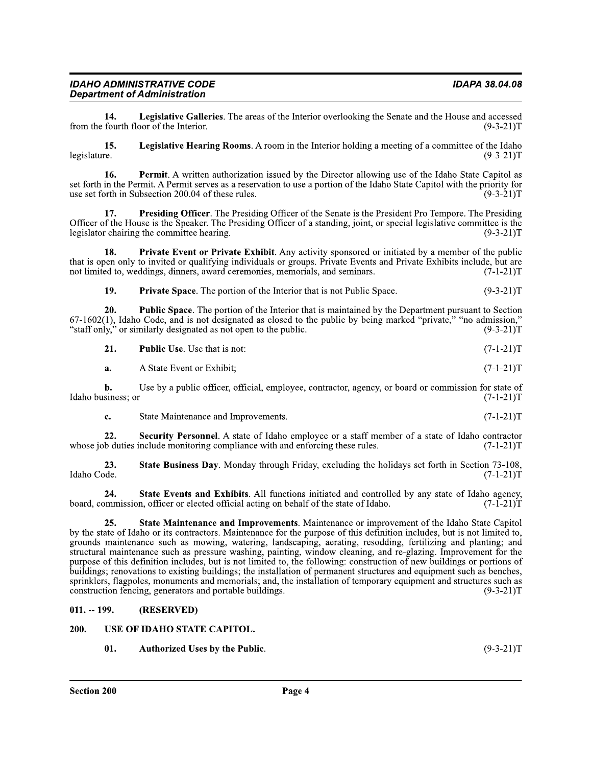$011. - 199.$ (RESERVED)

### 200. USE OF IDAHO STATE CAPITOL.

01. **Authorized Uses by the Public.**  $(9-3-21)T$ 

by the state of Idaho or its contractors. Maintenance for the purpose of this definition includes, but is not limited to, grounds maintenance such as mowing, watering, landscaping, aerating, resodding, fertilizing and planting; and structural maintenance such as pressure washing, painting, window cleaning, and re-glazing. Improvement for the purpose of this definition includes, but is not limited to, the following: construction of new buildings or portions of buildings; renovations to existing buildings; the installation of permanent structures and equipment such as benches, sprinklers, flagpoles, monuments and memorials; and, the installation of temporary equipment and structures such as construction fencing, generators and portable buildings.  $(9-3-21)T$ 

 $24.$ State Events and Exhibits. All functions initiated and controlled by any state of Idaho agency, board, commission, officer or elected official acting on behalf of the state of Idaho.  $(7-1-21)T$ 

b. Use by a public officer, official, employee, contractor, agency, or board or commission for state of  $(7-1-21)T$ Idaho business; or

21.

Public Use. Use that is not:  $(7-1-21)T$ 

Security Personnel. A state of Idaho employee or a staff member of a state of Idaho contractor

State Business Day, Monday through Friday, excluding the holidays set forth in Section 73-108.

State Maintenance and Improvements. Maintenance or improvement of the Idaho State Capitol

"staff only," or similarly designated as not open to the public.  $(9-3-21)T$ 

 $67-1602(1)$ , Idaho Code, and is not designated as closed to the public by being marked "private," "no admission,"

20. **Public Space.** The portion of the Interior that is maintained by the Department pursuant to Section

19. **Private Space.** The portion of the Interior that is not Public Space.  $(9-3-21)T$ 

Presiding Officer. The Presiding Officer of the Senate is the President Pro Tempore. The Presiding

not limited to, weddings, dinners, award ceremonies, memorials, and seminars.  $(7-1-21)T$ 

Private Event or Private Exhibit. Any activity sponsored or initiated by a member of the public 18. that is open only to invited or qualifying individuals or groups. Private Events and Private Exhibits include, but are

**Legislative Galleries.** The areas of the Interior overlooking the Senate and the House and accessed from the fourth floor of the Interior.  $(9-3-21)T$ 

**Legislative Hearing Rooms.** A room in the Interior holding a meeting of a committee of the Idaho 15.

legislature.  $(9-3-21)T$ 

**Permit.** A written authorization issued by the Director allowing use of the Idaho State Capitol as 16. set forth in the Permit. A Permit serves as a reservation to use a portion of the Idaho State Capitol with the priority for use set forth in Subsection 200.04 of these rules.  $(9-3-21)T$ 

Officer of the House is the Speaker. The Presiding Officer of a standing, joint, or special legislative committee is the

14.

**IDAHO ADMINISTRATIVE CODE** 

legislator chairing the committee hearing.

A State Event or Exhibit;

State Maintenance and Improvements.

whose job duties include monitoring compliance with and enforcing these rules.

**Department of Administration** 

17.

a.

c.

22.

23.

25.

Idaho Code.

 $(9-3-21)T$ 

 $(7-1-21)T$ 

 $(7-1-21)T$ 

 $(7-1-21)T$ 

 $(7-1-21)T$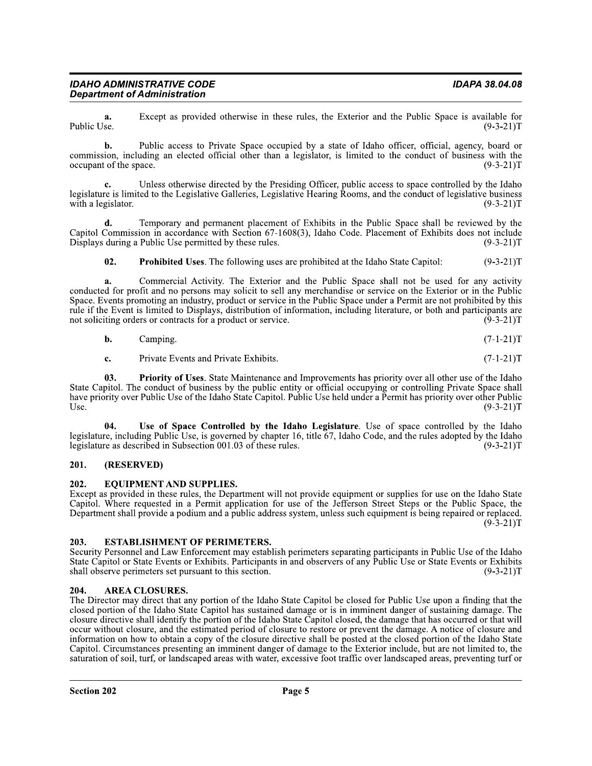**a.** Except as provided otherwise in these rules, the Exterior and the Public Space is available for Public Use. (9-3-21)T Public Use.  $(9-3-21)1$ 

**b.** Public access to Private Space occupied by a state of Idaho officer, official, agency, board or commission, including an elected official other than a legislator, is limited to the conduct of business with the occupant of the space.  $(9-3-21)T$ occupant of the space.

c. Unless otherwise directed by the Presiding Officer, public access to space controlled by the Idaho legislature is limited to the Legislative Galleries, Legislative Hearing Rooms, and the conduct of legislative business with a legislator. (9-3-21)T with a legislator.  $(9-3-21)1$ 

d. Temporary and permanent placement of Exhibits in the Public Space shall be reviewed by the Capitol Commission in accordance with Section 67-1608(3), Idaho Code. Placement of Exhibits does not include Displays during a Public Use permitted by these rules.  $(9-3-21)T$ Displays during a Public Use permitted by these rules.

02. Prohibited Uses. The following uses are prohibited at the Idaho State Capitol:  $(9-3-21)T$ 

a. Commercial Activity. The Exterior and the Public Space shall not be used for any activity conducted for profit and no persons may solicit to sell any merchandise or service on the Exterior or in the Public Space. Events promoting an industry, product or service in the Public Space under a Permit are not prohibi rule if the Event is limited to Displays, distribution of information, including literature, or both and participants are<br>not soliciting orders or contracts for a product or service. (9-3-21) not soliciting orders or contracts for a product or service.

| b. | amping. |  | $(7-1-21)T$ |  |
|----|---------|--|-------------|--|
|----|---------|--|-------------|--|

c. Private Events and Private Exhibits. (7-1-21) T

**63. Priority of Uses**. State Maintenance and Improvements has priority over all other use of the Idaho State Capitol. The conduct of business by the public entity or official occupying or controlling Private Space shall have priority over Public Use of the Idaho State Capitol. Public Use held under a Permit has priority over other Public Use.<br>Use. (9-3-21)T Use.  $(9-3-21)$ **6.** Camping. (7-1-21)T<br> **c.** Private Events and Private Exhibits. (7-1-21)T<br> **c.** Priority of Uses. State Maintenance and Improvements has priority over all other use of the Idaho<br>
pitol. The conduct of business by the p

legislature, including Public Use, is governed by chapter 16, title 67, Idaho Code, and the rules adopted by the Idaho legislature as described in Subsection 001.03 of these rules.  $(9-3-21)T$ legislature as described in Subsection 001.03 of these rules.

### 201. (RESERVED)

202. EQUIPMENT AND SUPPLIES.<br>Except as provided in these rules, the Department will not provide equipment or supplies for use on the Idaho State Capitol. Where requested in a Permit application for use of the Jefferson Street Steps or the Public Space, the Department shall provide a podium and a public address system, unless such equipment is being repaired or replaced.  $(9-3-21)T$ 

### 203. ESTABLISHMENT OF PERIMETERS.

Security Personnel and Law Enforcement may establish perimeters separating participants in Public Use of the Idaho State Capitol or State Events or Exhibits. Participants in and observers of any Public Use or State Events or Exhibits shall observe perimeters set pursuant to this section. (9-3-21) shall observe perimeters set pursuant to this section.

### 204. AREA CLOSURES.

The Director may drivet that any portion of the Idaho State Capitol be closed for Public Use upon a finding that the<br>closed portion of the Idaho State Capitol has sustained damage or is in imminent danger of sustaining da The Director may direct that any portion of the Idaho State Capitol be closed for Public Use upon a finding that the closed portion of the Idaho State Capitol has sustained damage or is in imminent danger of sustaining damage. The closure directive shall identify the portion of the Idaho State Capitol closed, the damage that has occurred or that will occur without closure, and the estimated period of closure to restore or prevent the damage. A notice of closure and information on how to obtain a copy of the closure directive shall be posted at the closed portion of the Idaho State Capitol. Circumstances presenting an imminent danger of damage to the Exterior include, but are not limi saturation of soil, turf, or landscaped areas with water, excessive foot traffic over landscaped areas, preventing turf or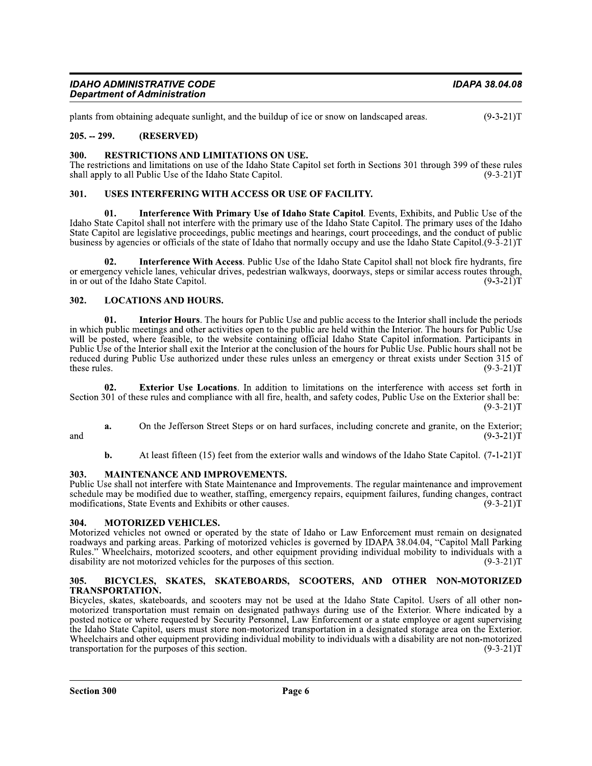| <b>IDAHO ADMINISTRATIVE CODE</b>    | IDAPA 38.04.08 |
|-------------------------------------|----------------|
| <b>Department of Administration</b> |                |

plants from obtaining adequate sunlight, and the buildup of ice or snow on landscaped areas.  $(9-3-21)T$ 

### $205. - 299.$ (RESERVED)

#### 300. RESTRICTIONS AND LIMITATIONS ON USE.

The restrictions and limitations on use of the Idaho State Capitol set forth in Sections 301 through 399 of these rules shall apply to all Public Use of the Idaho State Capitol.  $(9-3-21)T$ 

#### 301. USES INTERFERING WITH ACCESS OR USE OF FACILITY.

01. Interference With Primary Use of Idaho State Capitol. Events, Exhibits, and Public Use of the Idaho State Capitol shall not interfere with the primary use of the Idaho State Capitol. The primary uses of the Idaho State Capitol are legislative proceedings, public meetings and hearings, court proceedings, and the conduct of public business by agencies or officials of the state of Idaho that normally occupy and use the Idaho State Capitol. (9-3-21) T

Interference With Access. Public Use of the Idaho State Capitol shall not block fire hydrants, fire 02. or emergency vehicle lanes, vehicular drives, pedestrian walkways, doorways, steps or similar access routes through, in or out of the Idaho State Capitol.  $(9-3-21)T$ 

### **LOCATIONS AND HOURS.** 302.

**Interior Hours.** The hours for Public Use and public access to the Interior shall include the periods 01. in which public meetings and other activities open to the public are held within the Interior. The hours for Public Use will be posted, where feasible, to the website containing official Idaho State Capitol information. Participants in Public Use of the Interior shall exit the Interior at the conclusion of the hours for Public Use. Public hours shall not be reduced during Public Use authorized under these rules unless an emergency or threat exists under Section 315 of these rules.  $(9-3-21)T$ 

 $02.$ Exterior Use Locations. In addition to limitations on the interference with access set forth in Section 301 of these rules and compliance with all fire, health, and safety codes, Public Use on the Exterior shall be:  $(9-3-21)T$ 

and

On the Jefferson Street Steps or on hard surfaces, including concrete and granite, on the Exterior; a.  $(9-3-21)T$ 

At least fifteen (15) feet from the exterior walls and windows of the Idaho State Capitol. (7-1-21)T b.

#### 303. **MAINTENANCE AND IMPROVEMENTS.**

Public Use shall not interfere with State Maintenance and Improvements. The regular maintenance and improvement schedule may be modified due to weather, staffing, emergency repairs, equipment failures, funding changes, contract modifications, State Events and Exhibits or other causes.  $(9-3-21)T$ 

#### 304. **MOTORIZED VEHICLES.**

Motorized vehicles not owned or operated by the state of Idaho or Law Enforcement must remain on designated roadways and parking areas. Parking of motorized vehicles is governed by IDAPA 38.04.04, "Capitol Mall Parking Rules." Wheelchairs, motorized scooters, and other equipment providing individual mobility to individuals with a disability are not motorized vehicles for the purposes of this section.  $(9-3-21)T$ 

### BICYCLES, SKATES, SKATEBOARDS, SCOOTERS, AND OTHER NON-MOTORIZED 305. TRANSPORTATION.

Bicycles, skates, skateboards, and scooters may not be used at the Idaho State Capitol. Users of all other nonmotorized transportation must remain on designated pathways during use of the Exterior. Where indicated by a posted notice or where requested by Security Personnel, Law Enforcement or a state employee or agent supervising the Idaho State Capitol, users must store non-motorized transportation in a designated storage area on the Exterior. Wheelchairs and other equipment providing individual mobility to individuals with a disability are not non-motorized transportation for the purposes of this section.  $(9-3-21)T$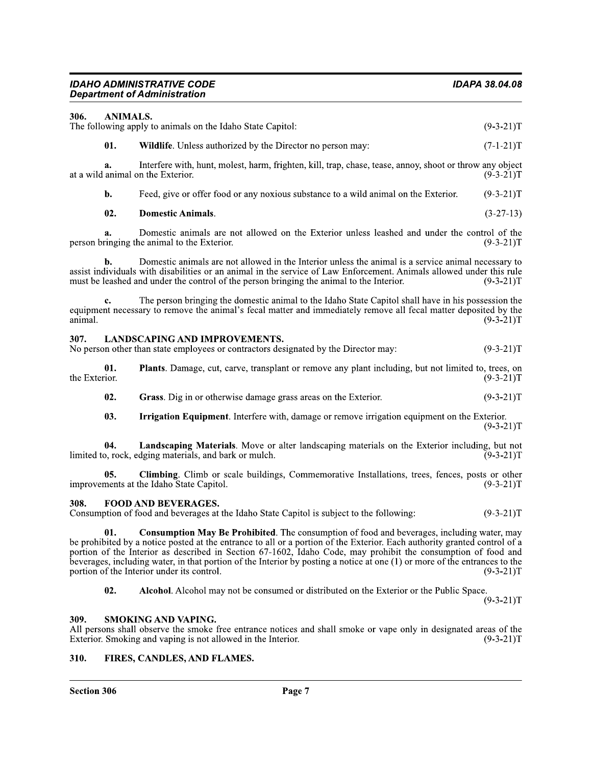| 306.                 | <b>ANIMALS.</b>                                                                                                                                                                                                                                                                                                                                                                                                                                                                                                               |             |
|----------------------|-------------------------------------------------------------------------------------------------------------------------------------------------------------------------------------------------------------------------------------------------------------------------------------------------------------------------------------------------------------------------------------------------------------------------------------------------------------------------------------------------------------------------------|-------------|
|                      | The following apply to animals on the Idaho State Capitol:                                                                                                                                                                                                                                                                                                                                                                                                                                                                    | $(9-3-21)T$ |
| 01.                  | <b>Wildlife.</b> Unless authorized by the Director no person may:                                                                                                                                                                                                                                                                                                                                                                                                                                                             | $(7-1-21)T$ |
| a.                   | Interfere with, hunt, molest, harm, frighten, kill, trap, chase, tease, annoy, shoot or throw any object<br>at a wild animal on the Exterior.                                                                                                                                                                                                                                                                                                                                                                                 | $(9-3-21)T$ |
| b.                   | Feed, give or offer food or any noxious substance to a wild animal on the Exterior.                                                                                                                                                                                                                                                                                                                                                                                                                                           | $(9-3-21)T$ |
| 02.                  | <b>Domestic Animals.</b>                                                                                                                                                                                                                                                                                                                                                                                                                                                                                                      | $(3-27-13)$ |
| a.                   | Domestic animals are not allowed on the Exterior unless leashed and under the control of the<br>person bringing the animal to the Exterior.                                                                                                                                                                                                                                                                                                                                                                                   | $(9-3-21)T$ |
| b.                   | Domestic animals are not allowed in the Interior unless the animal is a service animal necessary to<br>assist individuals with disabilities or an animal in the service of Law Enforcement. Animals allowed under this rule<br>must be leashed and under the control of the person bringing the animal to the Interior.                                                                                                                                                                                                       | $(9-3-21)T$ |
| c.<br>animal.        | The person bringing the domestic animal to the Idaho State Capitol shall have in his possession the<br>equipment necessary to remove the animal's fecal matter and immediately remove all fecal matter deposited by the                                                                                                                                                                                                                                                                                                       | $(9-3-21)T$ |
| 307.                 | <b>LANDSCAPING AND IMPROVEMENTS.</b><br>No person other than state employees or contractors designated by the Director may:                                                                                                                                                                                                                                                                                                                                                                                                   | $(9-3-21)T$ |
| 01.<br>the Exterior. | Plants. Damage, cut, carve, transplant or remove any plant including, but not limited to, trees, on                                                                                                                                                                                                                                                                                                                                                                                                                           | $(9-3-21)T$ |
| 02.                  | Grass. Dig in or otherwise damage grass areas on the Exterior.                                                                                                                                                                                                                                                                                                                                                                                                                                                                | $(9-3-21)T$ |
| 03.                  | Irrigation Equipment. Interfere with, damage or remove irrigation equipment on the Exterior.                                                                                                                                                                                                                                                                                                                                                                                                                                  | $(9-3-21)T$ |
| 04.                  | Landscaping Materials. Move or alter landscaping materials on the Exterior including, but not<br>limited to, rock, edging materials, and bark or mulch.                                                                                                                                                                                                                                                                                                                                                                       | $(9-3-21)T$ |
| 05.                  | <b>Climbing.</b> Climb or scale buildings, Commemorative Installations, trees, fences, posts or other<br>improvements at the Idaho State Capitol.                                                                                                                                                                                                                                                                                                                                                                             | $(9-3-21)T$ |
| 308.                 | <b>FOOD AND BEVERAGES.</b><br>Consumption of food and beverages at the Idaho State Capitol is subject to the following:                                                                                                                                                                                                                                                                                                                                                                                                       | $(9-3-21)T$ |
| 01.                  | <b>Consumption May Be Prohibited.</b> The consumption of food and beverages, including water, may<br>be prohibited by a notice posted at the entrance to all or a portion of the Exterior. Each authority granted control of a<br>portion of the Interior as described in Section 67-1602, Idaho Code, may prohibit the consumption of food and<br>beverages, including water, in that portion of the Interior by posting a notice at one $(1)$ or more of the entrances to the<br>portion of the Interior under its control. | $(9-3-21)T$ |
| 02.                  | Alcohol. Alcohol may not be consumed or distributed on the Exterior or the Public Space.                                                                                                                                                                                                                                                                                                                                                                                                                                      | $(9-3-21)T$ |
| 309.                 | <b>SMOKING AND VAPING.</b><br>All persons shall observe the smoke free entrance notices and shall smoke or vape only in designated areas of the                                                                                                                                                                                                                                                                                                                                                                               |             |

## $(309. \quad \text{SMOKING AND VAPING}.$

309. SMOKING AND VAPING.<br>
All persons shall observe the smoke free entrance notices and shall smoke or vape only in designated areas of the<br>
Exterior. Smoking and vaping is not allowed in the Interior.<br>
310. FIRES, CANDLE All persons shall observe the smoke free entrance notices and shall smoke or vape only in designated areas of the Exterior. Smoking and vaping is not allowed in the Interior.  $(9-3-21)$  I

### 310. FIRES, CANDLES, AND FLAMES.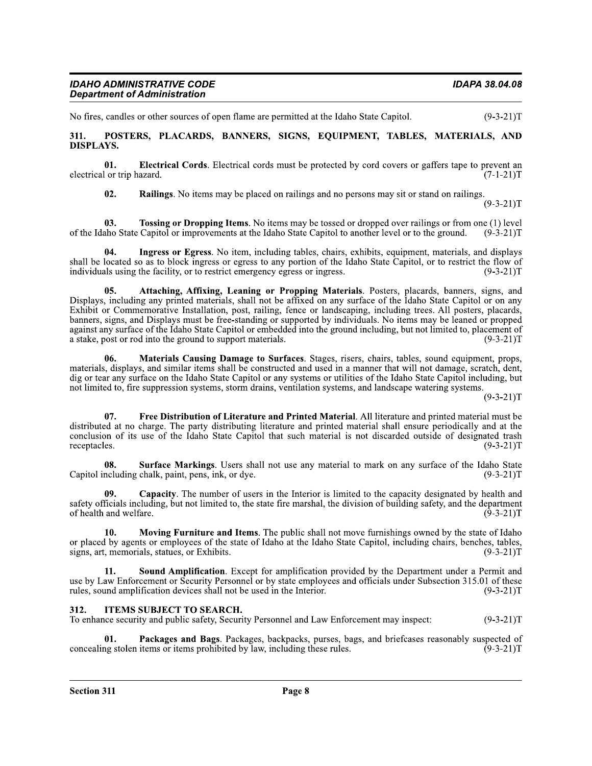No fires, candles or other sources of open flame are permitted at the Idaho State Capitol.  $(9-3-21)T$ 

POSTERS, PLACARDS, BANNERS, SIGNS, EQUIPMENT, TABLES, MATERIALS, AND 311. **DISPLAYS.** 

01. Electrical Cords. Electrical cords must be protected by cord covers or gaffers tape to prevent an electrical or trip hazard.  $(7-1-21)T$ 

 $02.$ **Railings.** No items may be placed on railings and no persons may sit or stand on railings.

 $(9-3-21)T$ 

**Tossing or Dropping Items**. No items may be tossed or dropped over railings or from one (1) level 03. of the Idaho State Capitol or improvements at the Idaho State Capitol to another level or to the ground.  $(9-3-21)T$ 

Ingress or Egress. No item, including tables, chairs, exhibits, equipment, materials, and displays 04. shall be located so as to block ingress or egress to any portion of the Idaho State Capitol, or to restrict the flow of  $(9-3-21)T$ individuals using the facility, or to restrict emergency egress or ingress.

Attaching, Affixing, Leaning or Propping Materials. Posters, placards, banners, signs, and 05. Displays, including any printed materials, shall not be affixed on any surface of the Idaho State Capitol or on any Exhibit or Commemorative Installation, post, railing, fence or landscaping, including trees. All posters, placards, banners, signs, and Displays must be free-standing or supported by individuals. No items may be leaned or propped against any surface of the Idaho State Capitol or embedded into the ground including, but not limited to, placement of a stake, post or rod into the ground to support materials.  $(9-3-21)T$ 

06. Materials Causing Damage to Surfaces. Stages, risers, chairs, tables, sound equipment, props, materials, displays, and similar items shall be constructed and used in a manner that will not damage, scratch, dent, dig or tear any surface on the Idaho State Capitol or any systems or utilities of the Idaho State Capitol including, but not limited to, fire suppression systems, storm drains, ventilation systems, and landscape watering systems.

 $(9-3-21)T$ 

07. Free Distribution of Literature and Printed Material. All literature and printed material must be distributed at no charge. The party distributing literature and printed material shall ensure periodically and at the conclusion of its use of the Idaho State Capitol that such material is not discarded outside of designated trash receptacles.  $(9-3-21)T$ 

08. **Surface Markings.** Users shall not use any material to mark on any surface of the Idaho State Capitol including chalk, paint, pens, ink, or dye.  $(9-3-21)T$ 

09. Capacity. The number of users in the Interior is limited to the capacity designated by health and safety officials including, but not limited to, the state fire marshal, the division of building safety, and the department of health and welfare.  $(9-3-21)T$ 

Moving Furniture and Items. The public shall not move furnishings owned by the state of Idaho  $10<sub>1</sub>$ or placed by agents or employees of the state of Idaho at the Idaho State Capitol, including chairs, benches, tables, signs, art, memorials, statues, or Exhibits.  $(9-3-21)T$ 

Sound Amplification. Except for amplification provided by the Department under a Permit and use by Law Enforcement or Security Personnel or by state employees and officials under Subsection 315.01 of these rules, sound amplification devices shall not be used in the Interior.  $(9-3-21)T$ 

### **ITEMS SUBJECT TO SEARCH.** 312.

To enhance security and public safety, Security Personnel and Law Enforcement may inspect:  $(9-3-21)T$ 

Packages and Bags. Packages, backpacks, purses, bags, and briefcases reasonably suspected of 01. concealing stolen items or items prohibited by law, including these rules.  $(9-3-21)T$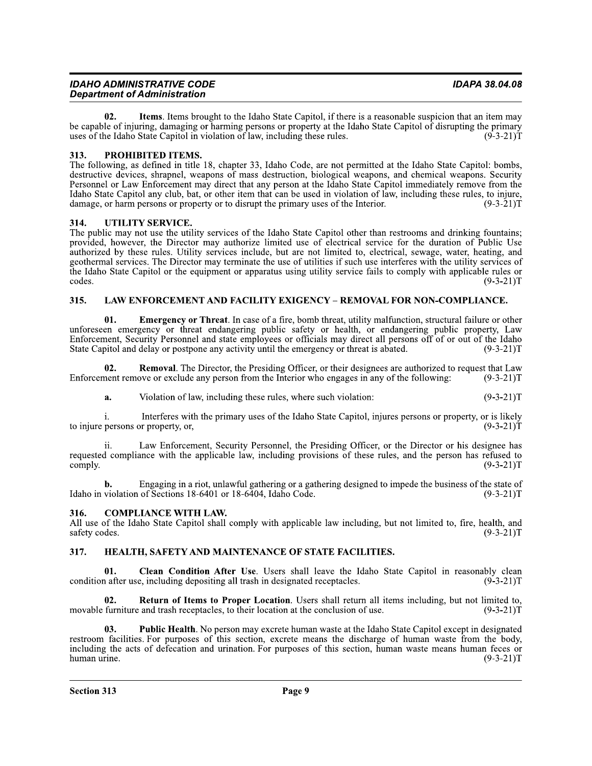| <b>IDAHO ADMINISTRATIVE CODE</b>    | IDAPA 38.04.08 |
|-------------------------------------|----------------|
| <b>Department of Administration</b> |                |

02. Items. Items brought to the Idaho State Capitol, if there is a reasonable suspicion that an item may be capable of injuring, damaging or harming persons or property at the Idaho State Capitol of disrupting the primary uses of the Idaho State Capitol in violation of law, including these rules.  $(9-3-21)T$ 

### 313. PROHIBITED ITEMS.

The following, as defined in title 18, chapter 33, Idaho Code, are not permitted at the Idaho State Capitol: bombs, destructive devices, shrapnel, weapons of mass destruction, biological weapons, and chemical weapons. Security Personnel or Law Enforcement may direct that any person at the Idaho State Capitol immediately remove from the Idaho State Capitol any club, bat, or other item that can be used in violation of law, including these rules, to injure, damage, or harm persons or property or to disrupt the primary uses of the Interior.  $(9-3-21)T$ 

### 314. UTILITY SERVICE.

The public may not use the utility services of the Idaho State Capitol other than restrooms and drinking fountains; provided, however, the Director may authorize limited use of electrical service for the duration of Public Use authorized by these rules. Utility services include, but are not limited to, electrical, sewage, water, heating, and geothermal services. The Director may terminate the use of utilities if such use interferes with the utility services of the Idaho State Capitol or the equipment or apparatus using utility service fails to comply with applicable rules or codes.  $(9-3-21)T$ 

### LAW ENFORCEMENT AND FACILITY EXIGENCY - REMOVAL FOR NON-COMPLIANCE. 315.

01. **Emergency or Threat.** In case of a fire, bomb threat, utility malfunction, structural failure or other unforeseen emergency or threat endangering public safety or health, or endangering public property. Law Enforcement, Security Personnel and state employees or officials may direct all persons off of or out of the Idaho State Capitol and delay or postpone any activity until the emergency or threat is abated.  $(9-3-21)T$ 

Removal. The Director, the Presiding Officer, or their designees are authorized to request that Law 02. Enforcement remove or exclude any person from the Interior who engages in any of the following:  $(9-3-21)T$ 

 $(9-3-21)T$ a. Violation of law, including these rules, where such violation:

i. Interferes with the primary uses of the Idaho State Capitol, injures persons or property, or is likely to injure persons or property, or,  $(9-3-21)T$ 

Law Enforcement, Security Personnel, the Presiding Officer, or the Director or his designee has requested compliance with the applicable law, including provisions of these rules, and the person has refused to comply.  $(9-3-21)T$ 

Engaging in a riot, unlawful gathering or a gathering designed to impede the business of the state of b. Idaho in violation of Sections 18-6401 or 18-6404, Idaho Code.  $(9-3-21)T$ 

#### **COMPLIANCE WITH LAW.** 316.

All use of the Idaho State Capitol shall comply with applicable law including, but not limited to, fire, health, and safety codes.  $(9-3-21)T$ 

#### 317. HEALTH, SAFETY AND MAINTENANCE OF STATE FACILITIES.

Clean Condition After Use. Users shall leave the Idaho State Capitol in reasonably clean 01. condition after use, including depositing all trash in designated receptacles.  $(9-3-21)T$ 

02. Return of Items to Proper Location. Users shall return all items including, but not limited to, movable furniture and trash receptacles, to their location at the conclusion of use.  $(9-3-21)T$ 

Public Health. No person may excrete human waste at the Idaho State Capitol except in designated 03. restroom facilities. For purposes of this section, excrete means the discharge of human waste from the body, including the acts of defecation and urination. For purposes of this section, human waste means human feces or human urine.  $(9-3-21)T$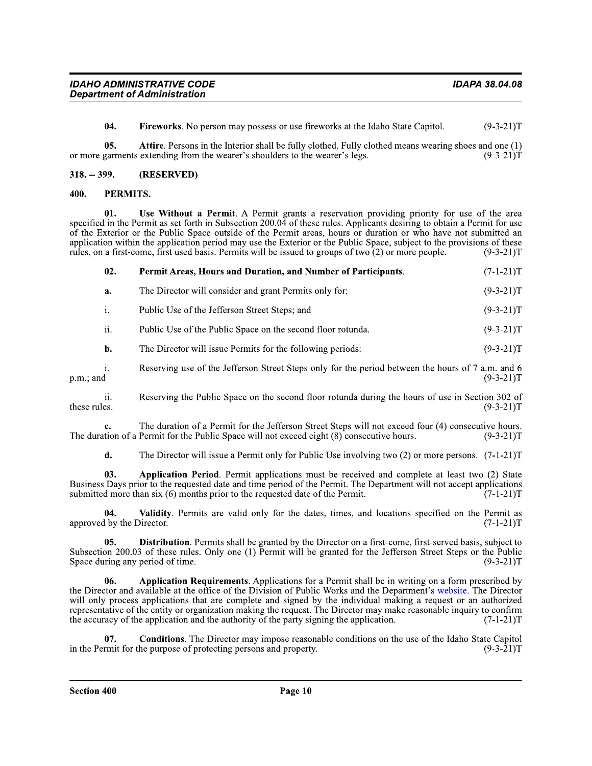04. Fireworks. No person may possess or use fireworks at the Idaho State Capitol.  $(9-3-21)T$ 

Attire. Persons in the Interior shall be fully clothed. Fully clothed means wearing shoes and one (1) 05. or more garments extending from the wearer's shoulders to the wearer's legs.  $(9-3-21)T$ 

#### $318. - 399.$ (RESERVED)

#### 400. PERMITS.

01. Use Without a Permit. A Permit grants a reservation providing priority for use of the area specified in the Permit as set forth in Subsection 200.04 of these rules. Applicants desiring to obtain a Permit for use of the Exterior or the Public Space outside of the Permit areas, hours or duration or who have not submitted an application within the application period may use the Exterior or the Public Space, subject to the provisions of these rules, on a first-come, first used basis. Permits will be issued to groups of two  $(2)$  or more people.  $(9-3-21)T$ 

| 02.            | Permit Areas, Hours and Duration, and Number of Participants. | $(7-1-21)T$ |
|----------------|---------------------------------------------------------------|-------------|
| a.             | The Director will consider and grant Permits only for:        | $(9-3-21)T$ |
| $\mathbf{1}$ . | Public Use of the Jefferson Street Steps; and                 | $(9-3-21)T$ |
| ii.            | Public Use of the Public Space on the second floor rotunda.   | $(9-3-21)T$ |
| b.             | The Director will issue Permits for the following periods:    | $(9-3-21)T$ |
|                |                                                               |             |

Reserving use of the Jefferson Street Steps only for the period between the hours of 7 a.m. and 6 i.  $p.m.:$  and  $(9-3-21)T$ 

Reserving the Public Space on the second floor rotunda during the hours of use in Section 302 of ii. these rules.  $(9-3-21)T$ 

The duration of a Permit for the Jefferson Street Steps will not exceed four (4) consecutive hours. c. The duration of a Permit for the Public Space will not exceed eight  $(8)$  consecutive hours.  $(9-3-21)T$ 

 $\mathbf{d}$ . The Director will issue a Permit only for Public Use involving two  $(2)$  or more persons.  $(7-1-21)$ T

03. Application Period. Permit applications must be received and complete at least two (2) State Business Days prior to the requested date and time period of the Permit. The Department will not accept applications submitted more than six (6) months prior to the requested date of the Permit.  $(7-1-21)T$ 

Validity. Permits are valid only for the dates, times, and locations specified on the Permit as  $04.$ approved by the Director.  $(7-1-21)T$ 

Distribution. Permits shall be granted by the Director on a first-come, first-served basis, subject to  $0.5.$ Subsection 200.03 of these rules. Only one (1) Permit will be granted for the Jefferson Street Steps or the Public Space during any period of time.  $(9-3-21)T$ 

Application Requirements. Applications for a Permit shall be in writing on a form prescribed by 06. the Director and available at the office of the Division of Public Works and the Department's website. The Director will only process applications that are complete and signed by the individual making a request or an authorized representative of the entity or organization making the request. The Director may make reasonable inquiry to confirm the accuracy of the application and the authority of the party signing the application.  $(7-1-21)T$ 

**Conditions.** The Director may impose reasonable conditions on the use of the Idaho State Capitol 07. in the Permit for the purpose of protecting persons and property.  $(9-3-21)T$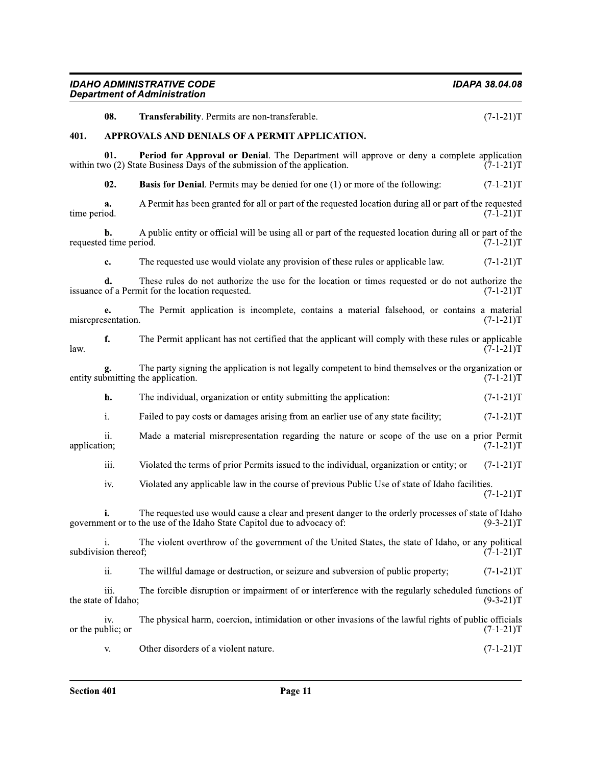| <b>IDAHO ADMINISTRATIVE CODE</b><br><b>Department of Administration</b> |                              |                                                                                                                                                                                | <b>IDAPA 38.04.08</b> |
|-------------------------------------------------------------------------|------------------------------|--------------------------------------------------------------------------------------------------------------------------------------------------------------------------------|-----------------------|
|                                                                         | 08.                          | Transferability. Permits are non-transferable.                                                                                                                                 | $(7-1-21)T$           |
| 401.                                                                    |                              | APPROVALS AND DENIALS OF A PERMIT APPLICATION.                                                                                                                                 |                       |
|                                                                         | 01.                          | Period for Approval or Denial. The Department will approve or deny a complete application<br>within two (2) State Business Days of the submission of the application.          | $(7-1-21)T$           |
|                                                                         | 02.                          | <b>Basis for Denial.</b> Permits may be denied for one (1) or more of the following:                                                                                           | $(7-1-21)T$           |
| time period.                                                            | a.                           | A Permit has been granted for all or part of the requested location during all or part of the requested                                                                        | $(7-1-21)T$           |
|                                                                         | b.<br>requested time period. | A public entity or official will be using all or part of the requested location during all or part of the                                                                      | $(7-1-21)T$           |
|                                                                         | c.                           | The requested use would violate any provision of these rules or applicable law.                                                                                                | $(7-1-21)T$           |
|                                                                         | d.                           | These rules do not authorize the use for the location or times requested or do not authorize the<br>issuance of a Permit for the location requested.                           | $(7-1-21)T$           |
|                                                                         | e.<br>misrepresentation.     | The Permit application is incomplete, contains a material falsehood, or contains a material                                                                                    | $(7-1-21)T$           |
| law.                                                                    | f.                           | The Permit applicant has not certified that the applicant will comply with these rules or applicable                                                                           | $(7-1-21)T$           |
|                                                                         |                              | The party signing the application is not legally competent to bind themselves or the organization or<br>entity submitting the application.                                     | $(7-1-21)T$           |
|                                                                         | h.                           | The individual, organization or entity submitting the application:                                                                                                             | $(7-1-21)T$           |
|                                                                         | i.                           | Failed to pay costs or damages arising from an earlier use of any state facility;                                                                                              | $(7-1-21)T$           |
| application;                                                            | ii.                          | Made a material misrepresentation regarding the nature or scope of the use on a prior Permit                                                                                   | $(7-1-21)T$           |
|                                                                         | iii.                         | Violated the terms of prior Permits issued to the individual, organization or entity; or                                                                                       | $(7-1-21)T$           |
|                                                                         | iv.                          | Violated any applicable law in the course of previous Public Use of state of Idaho facilities.                                                                                 | $(7-1-21)T$           |
|                                                                         |                              | The requested use would cause a clear and present danger to the orderly processes of state of Idaho<br>government or to the use of the Idaho State Capitol due to advocacy of: | $(9-3-21)T$           |
|                                                                         | subdivision thereof;         | The violent overthrow of the government of the United States, the state of Idaho, or any political                                                                             | $(7-1-21)T$           |
|                                                                         | ii.                          | The willful damage or destruction, or seizure and subversion of public property;                                                                                               | $(7-1-21)T$           |
|                                                                         | iii.<br>the state of Idaho;  | The forcible disruption or impairment of or interference with the regularly scheduled functions of                                                                             | $(9-3-21)T$           |
|                                                                         | iv.<br>or the public; or     | The physical harm, coercion, intimidation or other invasions of the lawful rights of public officials                                                                          | $(7-1-21)T$           |
|                                                                         | V.                           | Other disorders of a violent nature.                                                                                                                                           | $(7-1-21)T$           |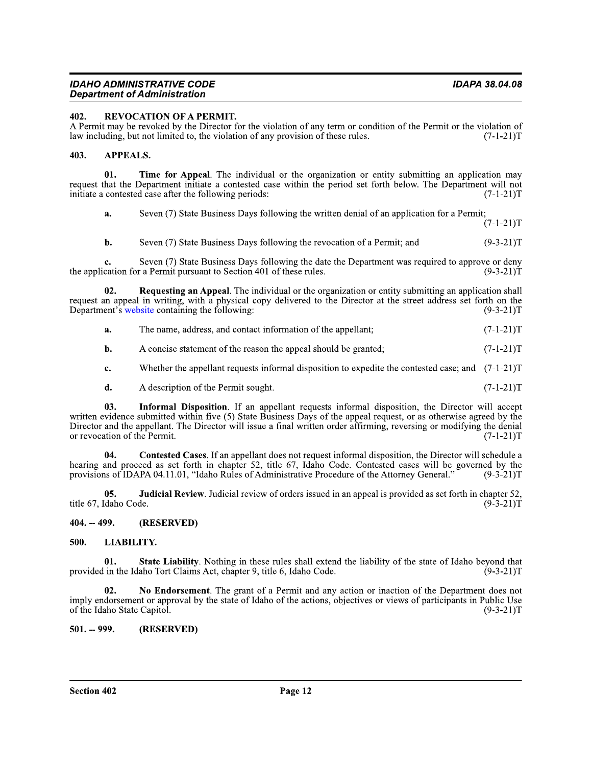### IDAHO ADMINISTRATIVE CODI Department of Administration **contracts of the contract of the contract of the contract of the contract of the c**

### 402. REVOCATION OF A PERMIT.

A Permit may be revoked by the Director for the violation of any term or condition of the Permit or the violation of law including, but not limited to, the violation of any provision of these rules. (7-1-21) law including, but not limited to, the violation of any provision of these rules.

### 403. APPEALS.

01. Time for Appeal. The individual or the organization or entity submitting an application may request that the Department initiate a contested case within the period set forth below. The Department will not initiate a contested case after the following periods:  $(7-1-21)T$ initiate a contested case after the following periods:

a. Seven  $(7)$  State Business Days following the written denial of an application for a Permit;

 $(7-1-21)T$ 

**b.** Seven (7) State Business Days following the revocation of a Permit; and  $(9-3-21)T$ 

**c.** Seven (7) State Business Days following the date the Department was required to approve or deny cation for a Permit pursuant to Section 401 of these rules.  $(9-3-21)T$ the application for a Permit pursuant to Section 401 of these rules.

**a.** Seven (7) State Business Days following the written denial of an application for a Permit; (7-1-21)T<br> **b.** Seven (7) State Business Days following the revocation of a Permit; and (9-3-21)T<br> **c.** Seven (7) State Busin request an appeal in writing, with a physical copy delivered to the Director at the street address set forth on the<br>Department's website containing the following:<br>(9-3-21)T

| a. | The name, address, and contact information of the appellant; | $(7-1-21)T$ |
|----|--------------------------------------------------------------|-------------|
|----|--------------------------------------------------------------|-------------|

**b.** A concise statement of the reason the appeal should be granted;  $(7-1-21)T$ 

**c.** Whether the appellant requests informal disposition to expedite the contested case; and  $(7-1-21)T$ 

**d.** A description of the Permit sought.  $(7-1-21)T$ 

**1.** The name, address, and contact information of the appellant; (7-1-21)T<br> **1.** A concise statement of the reason the appeal should be granted; (7-1-21)T<br> **1.** A description of the Permit sought. (7-1-21)T<br> **1.** A descr Director and the appellant. The Director will issue a final written order affirming, reversing or modifying the denial or revocation of the Permit. (7-1-21)T or revocation of the Permit. **c.** Whether the appellant requests informal disposition to expedite the contested case; and  $(7-1-21)T$ <br> **d.** A description of the Permit sought.  $(7-1-21)T$ <br> **03.** Informal Disposition. If an appellant requests informal

hearing and proceed as set forth in chapter 52, title 6/, Idaho Code. Contested cases will be governed by the provisions of IDAPA 04.11.01, "Idaho Rules of Administrative Procedure of the Attorney General."  $(9-3-21)1$ 

05. Judicial Review. Judicial review of orders issued in an appeal is provided as set forth in chapter 52, title 67, Idaho Code.  $(9-3-21)T$ 

### 404. -- 499. (RESERVED)

### 500. LIABILITY.

01. State Liability. Nothing in these rules shall extend the liability of the state of Idaho beyond that in the Idaho Tort Claims Act, chapter 9, title 6, Idaho Code.  $(9-3-21)T$ provided in the Idaho Tort Claims Act, chapter 9, title 6, Idaho Code.

mply endorsement or approval by the state of Idaho of the actions, objectives or views of participants in Public Use<br>of the Idaho State Capitol.<br>**501.** -- **999.** (RESERVED)<br>**Fage 12**<br>**Page 12** title 67, Idaho Code.<br>
(9<sup>1</sup>/<sub>2</sub>-21)<sup>T</sup><br> **404.** - 499. (RESERVED)<br>
500. LIABILITY.<br>
01. State Liability. Nothing in these rules shall extend the liability of the state of Idaho beyond that<br>
provided in the Idaho Tort Clai imply endorsement or approval by the state of Idaho of the actions, objectives or views of participants in Public Use<br>of the Idaho State Capitol. (9-3-21)T of the Idaho State Capitol.

501. -- 999. (RESERVED)